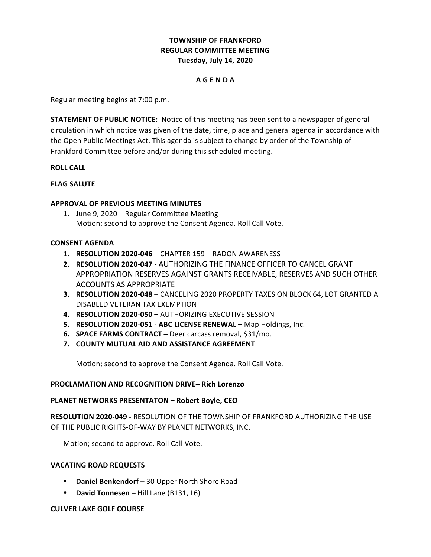# **TOWNSHIP OF FRANKFORD REGULAR COMMITTEE MEETING Tuesday, July 14, 2020**

### **A G E N D A**

Regular meeting begins at 7:00 p.m.

**STATEMENT OF PUBLIC NOTICE:** Notice of this meeting has been sent to a newspaper of general circulation in which notice was given of the date, time, place and general agenda in accordance with the Open Public Meetings Act. This agenda is subject to change by order of the Township of Frankford Committee before and/or during this scheduled meeting.

### **ROLL CALL**

## **FLAG SALUTE**

## **APPROVAL OF PREVIOUS MEETING MINUTES**

1. June 9, 2020 – Regular Committee Meeting Motion; second to approve the Consent Agenda. Roll Call Vote.

## **CONSENT AGENDA**

- 1. **RESOLUTION 2020-046 CHAPTER 159 RADON AWARENESS**
- **2. RESOLUTION 2020-047 AUTHORIZING THE FINANCE OFFICER TO CANCEL GRANT** APPROPRIATION RESERVES AGAINST GRANTS RECEIVABLE, RESERVES AND SUCH OTHER ACCOUNTS AS APPROPRIATE
- **3. RESOLUTION 2020-048 CANCELING 2020 PROPERTY TAXES ON BLOCK 64, LOT GRANTED A** DISABLED VETERAN TAX EXEMPTION
- **4. RESOLUTION 2020-050 –** AUTHORIZING EXECUTIVE SESSION
- **5. RESOLUTION 2020-051 ABC LICENSE RENEWAL Map Holdings, Inc.**
- **6. SPACE FARMS CONTRACT** Deer carcass removal, \$31/mo.
- **7. COUNTY MUTUAL AID AND ASSISTANCE AGREEMENT**

Motion; second to approve the Consent Agenda. Roll Call Vote.

### **PROCLAMATION AND RECOGNITION DRIVE– Rich Lorenzo**

### **PLANET NETWORKS PRESENTATON – Robert Boyle, CEO**

**RESOLUTION 2020-049 - RESOLUTION OF THE TOWNSHIP OF FRANKFORD AUTHORIZING THE USE** OF THE PUBLIC RIGHTS-OF-WAY BY PLANET NETWORKS, INC.

Motion; second to approve. Roll Call Vote.

### **VACATING ROAD REQUESTS**

- Daniel Benkendorf 30 Upper North Shore Road
- David Tonnesen Hill Lane (B131, L6)

### **CULVER LAKE GOLF COURSE**